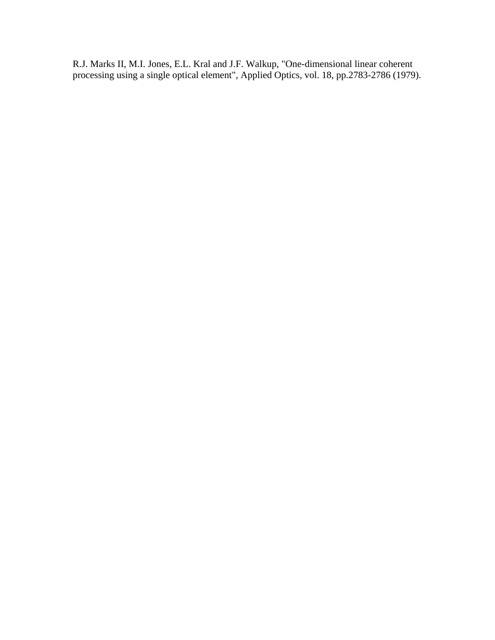R.J. Marks II, M.I. Jones, E.L. Kral and J.F. Walkup, "One-dimensional linear coherent processing using a single optical element", Applied Optics, vol. 18, pp.2783-2786 (1979).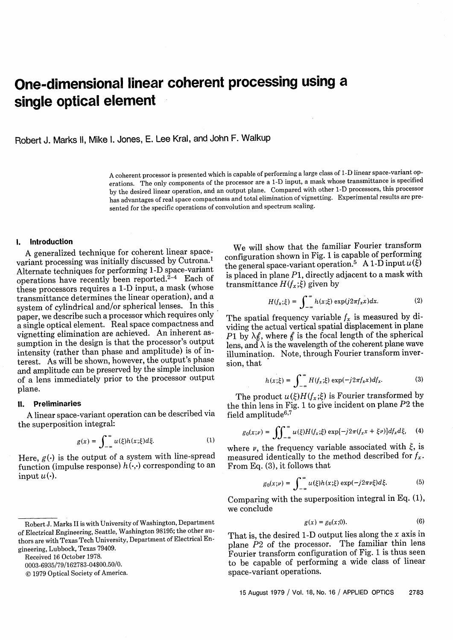# **One-dimensional linear coherent processing using a single optical element**

Robert J. Marks 11, Mike 1. Jones, E. Lee Kral, and John F. Walkup

A coherent processor is presented which is capable of performing a large class of 1-D linear space-variant operations. The only components of the processor are a 1-D input, a mask whose transmittance is specified by the desired linear operation, and an output plane. Compared with other 1-D processors, this processor has advantages of real space compactness and total elimination of vignetting. Experimental results are presented for the specific operations of convolution and spectrum scaling.

#### **1. Introduction**

A generalized technique for coherent linear spacevariant processing was initially discussed by Cutrona.1 Alternate techniques for performing 1-D space-variant operations have recently been reported. $2-4$  Each of these processors requires a 1-D input, a mask (whose transmittance determines the linear operation), and a system of cylindrical and/or spherical lenses. In this paper, we describe such a processor which requires only a single optical element. Real space compactness and vignetting elimination are achieved. An inherent assumption in the design is that the processor's output intensity (rather than phase and amplitude) is of interest. As will be shown, however, the output's phase and amplitude can be preserved by the simple inclusion of a lens immediately prior to the processor output plane.

# 11. **Preliminaries**

A linear space-variant operation can be described via the superposition integral:

$$
g(x) = \int_{-\infty}^{\infty} u(\xi)h(x;\xi)d\xi.
$$
 (1)

Here,  $g(\cdot)$  is the output of a system with line-spread function (impulse response)  $h(\cdot,\cdot)$  corresponding to an input  $u(\cdot)$ .

Received 16 October 1978.

0003-6935/79/162783-04\$00.50/0.

(© 1979 Optical Society of America.

We will show that the familiar Fourier transform configuration shown in Fig. 1 is capable of performing the general space-variant operation.<sup>5</sup> A 1-D input  $u(\xi)$ is placed in plane *P1,* directly adjacent to a mask with transmittance  $H(f_x;\xi)$  given by

$$
H(f_x;\xi) = \int_{-\infty}^{\infty} h(x;\xi) \exp(j2\pi f_x x) dx.
$$
 (2)

The spatial frequency variable  $f_x$  is measured by dividing the actual vertical spatial displacement in plane P1 by  $\lambda$ <sub>b</sub>, where  $\beta$  is the focal length of the spherical lens, and  $\lambda$  is the wavelength of the coherent plane wave illumination. Note, through Fourier transform inversion, that

$$
h(x;\xi) = \int_{-\infty}^{\infty} H(f_x;\xi) \exp(-j2\pi f_x x) df_x.
$$
 (3)

The product  $u(\xi)H(f_{x};\xi)$  is Fourier transformed by the thin lens in Fig. 1 to give incident on plane P2 the field amplitude $6,7$ 

$$
g_0(x;\nu) = \iint_{-\infty}^{\infty} u(\xi)H(f_x;\xi) \exp[-j2\pi(f_x x + \xi \nu)]df_x d\xi, \quad (4)
$$

where  $\nu$ , the frequency variable associated with  $\xi$ , is measured identically to the method described for  $f_x$ . From Eq. (3), it follows that

$$
g_0(x;\nu) = \int_{-\infty}^{\infty} u(\xi)h(x;\xi) \exp(-j2\pi\nu\xi) d\xi.
$$
 (5)

Comparing with the superposition integral in Eq. (1), we conclude

$$
g(x) = g_0(x;0). \tag{6}
$$

That is, the desired 1-D output lies along the x axis in plane P2 of the processor. The familiar thin lens Fourier transform configuration of Fig. 1 is thus seen to be capable of performing a wide class of linear space-variant operations.

Robert J. Marks II is with University of Washington, Department of Electrical Engineering, Seattle, Washington 98195; the other authors are with Texas Tech University, Department of Electrical Engineering, Lubbock, Texas 79409.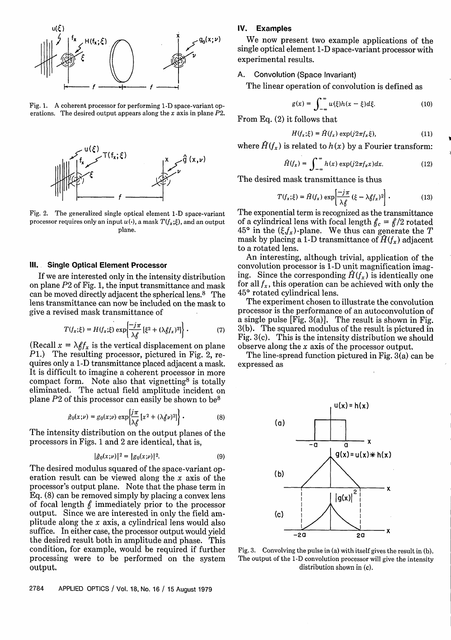

Fig. 1. A coherent processor for performing 1-D space-variant operations. The desired output appears along the x axis in plane P2.



Fig. 2. The generalized single optical element 1-D space-variant processor requires only an input  $u(\cdot)$ , a mask  $T(f_x;\xi)$ , and an output plane.

# **111. Single Optical Element Processor**

If we are interested only in the intensity distribution on plane  $P2$  of Fig. 1, the input transmittance and mask can be moved directly adjacent the spherical lens.8 The lens transmittance can now be included on the mask to give a revised mask transmittance of

$$
T(f_x;\xi) = H(f_x;\xi) \exp\left\{\frac{-j\pi}{\lambda \beta} \left[\xi^2 + (\lambda \beta f_x)^2\right]\right\}.
$$
 (7)

(Recall  $x = \lambda f_x$  is the vertical displacement on plane *P1.)* The resulting processor, pictured in Fig. 2, requires only a 1-D transmittance placed adjacent a mask. It is difficult to imagine a coherent processor in more compact form. Note also that vignetting<sup>8</sup> is totally eliminated. The actual field amplitude incident on plane P2 of this processor can easily be shown to be8

$$
\hat{g}_0(x;\nu) = g_0(x;\nu) \exp\left\{\frac{j\pi}{\lambda \delta} \left[x^2 + (\lambda \delta \nu)^2\right]\right\}.
$$
 (8)

The intensity distribution on the output planes of the processors in Figs. 1 and 2 are identical, that is,

$$
|\hat{g}_0(x;\nu)|^2 = |g_0(x;\nu)|^2. \tag{9}
$$

The desired modulus squared of the space-variant operation result can be viewed along the x axis of the processor's output plane. Note that the phase term in Eq. (8) can be removed simply by placing a convex lens of focal length  $f$  immediately prior to the processor output. Since we are interested in only the field amplitude along the x axis, a cylindrical lens would also suffice. In either case, the processor output would yield the desired result both in amplitude and phase. This condition, for example, would be required if further processing were to be performed on the system output.

# **IV. Examples**

We now present two example applications of the single optical element 1-D space-variant processor with experimental results.

#### A. Convolution (Space Invariant)

The linear operation of convolution is defined as

$$
g(x) = \int_{-\infty}^{\infty} u(\xi)h(x - \xi)d\xi.
$$
 (10)

From Eq. (2) it follows that

$$
H(f_x;\xi) = \hat{H}(f_x) \exp(j2\pi f_x \xi), \qquad (11)
$$

where  $\hat{H}(f_x)$  is related to  $h(x)$  by a Fourier transform:

$$
\hat{H}(f_x) = \int_{-\infty}^{\infty} h(x) \exp(j2\pi f_x x) dx.
$$
 (12)

The desired mask transmittance is thus

$$
T(f_x;\xi) = \hat{H}(f_x) \exp\left[\frac{-j\pi}{\lambda \xi} (\xi - \lambda \xi f_x)^2\right].
$$
 (13)

The exponential term is recognized as the transmittance of a cylindrical lens with focal length  $f_c = f/2$  rotated  $45^{\circ}$  in the  $(\xi, f_x)$ -plane. We thus can generate the T mask by placing a 1-D transmittance of  $\hat{H}(f_x)$  adjacent to a rotated lens.

An interesting, although trivial, application of the convolution processor is 1-D unit magnification imaging. Since the corresponding  $\hat{H}(f_x)$  is identically one for all  $f_x$ , this operation can be achieved with only the **450** rotated cylindrical lens.

The experiment chosen to illustrate the convolution processor is the performance of an autoconvolution of a single pulse [Fig. 3(a)]. The result is shown in Fig. 3(b). The squared modulus of the result is pictured in Fig. 3(c). This is the intensity distribution we should observe along the x axis of the processor output.

The line-spread function pictured in Fig. 3(a) can be expressed as



Fig. 3. Convolving the pulse in (a) with itself gives the result in (b). The output of the 1-D convolution processor will give the intensity distribution shown in (c).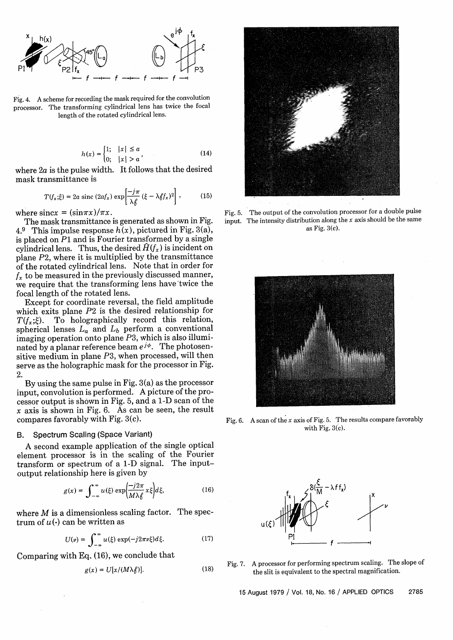

Fig. 4. A scheme for recording the mask required for the convolution processor. The transforming cylindrical lens has twice the focal length of the rotated cylindrical lens.

$$
h(x) = \begin{cases} 1; & |x| \le a \\ 0; & |x| > a \end{cases}
$$
 (14)

where  $2a$  is the pulse width. It follows that the desired mask transmittance is

$$
T(f_x;\xi) = 2a \operatorname{sinc}(2af_x) \exp\left[\frac{-j\pi}{\lambda \frac{\xi}{\beta}} (\xi - \lambda \frac{\xi}{f_x})^2\right],\tag{15}
$$

where sincx =  $(\sin \pi x)/\pi x$ .

The mask transmittance is generated as shown in Fig. 4.9 This impulse response  $h(x)$ , pictured in Fig. 3(a), is placed on P1 and is Fourier transformed by a single cylindrical lens. Thus, the desired  $\hat{H}(f_x)$  is incident on plane P2, where it is multiplied by the transmittance of the rotated cylindrical lens. Note that in order for  $f<sub>r</sub>$  to be measured in the previously discussed manner, we require that the transforming lens have twice the focal length of the rotated lens.

Except for coordinate reversal, the field amplitude which exits plane  $P2$  is the desired relationship for  $T(f_x;\xi)$ . To holographically record this relation, To holographically record this relation, spherical lenses  $L_a$  and  $L_b$  perform a conventional imaging operation onto plane P3, which is also illuminated by a planar reference beam  $e^{j\phi}$ . The photosensitive medium in plane P3, when processed, will then serve as the holographic mask for the processor in Fig. 2.

By using the same pulse in Fig. 3(a) as the processor input, convolution is performed. A picture of the processor output is shown in Fig. 5, and a 1-D scan of the  $x$  axis is shown in Fig. 6. As can be seen, the result compares favorably with Fig. 3(c).

## B. Spectrum Scaling (Space Variant)

A second example application of the single optical element processor is in the scaling of the Fourier transform or spectrum of a 1-D signal. The inputoutput relationship here is given by

$$
g(x) = \int_{-\infty}^{\infty} u(\xi) \exp\left(\frac{-j2\pi}{M\lambda \xi} x \xi\right) d\xi,
$$
 (16)

where  $M$  is a dimensionless scaling factor. The spectrum of  $u(\cdot)$  can be written as

$$
U(\nu) = \int_{-\infty}^{\infty} u(\xi) \exp(-j2\pi\nu\xi) d\xi.
$$
 (17)

Comparing with Eq. (16), we conclude that

$$
g(x) = U[x/(M\lambda_f^2)].
$$
 (18)



Fig. 5. The output of the convolution processor for a double pulse input. The intensity distribution along the  $x$  axis should be the same as Fig. 3(c).



Fig. 6. A scan of the x axis of Fig. 5. The results compare favorably with Fig.  $3(c)$ .



Fig. 7. A processor for performing spectrum scaling. The slope of the slit is equivalent to the spectral magnification.

15 August 1979 / Vol. 18, No. 16 / APPLIED OPTICS 2785